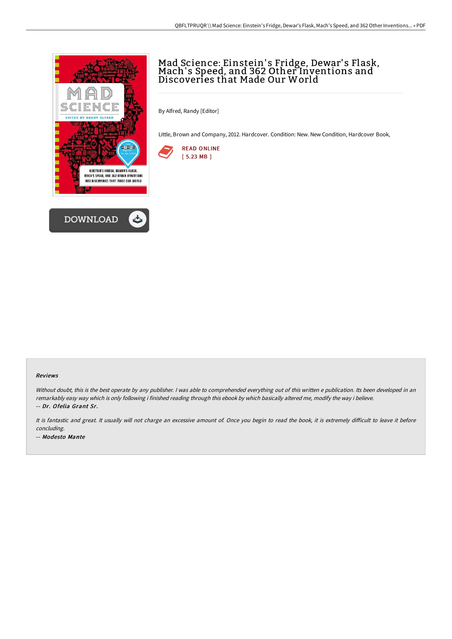



# Mad Science: Einstein's Fridge, Dewar's Flask,<br>Mach's Speed, and 362 Other Inventions and Discoveries that Made Our World

By Alfred, Randy [Editor]

Little, Brown and Company, 2012. Hardcover. Condition: New. New Condition, Hardcover Book,



#### Reviews

Without doubt, this is the best operate by any publisher. I was able to comprehended everything out of this written e publication. Its been developed in an remarkably easy way which is only following i finished reading through this ebook by which basically altered me, modify the way i believe. -- Dr. Ofelia Grant Sr.

It is fantastic and great. It usually will not charge an excessive amount of. Once you begin to read the book, it is extremely difficult to leave it before concluding. -- Modesto Mante